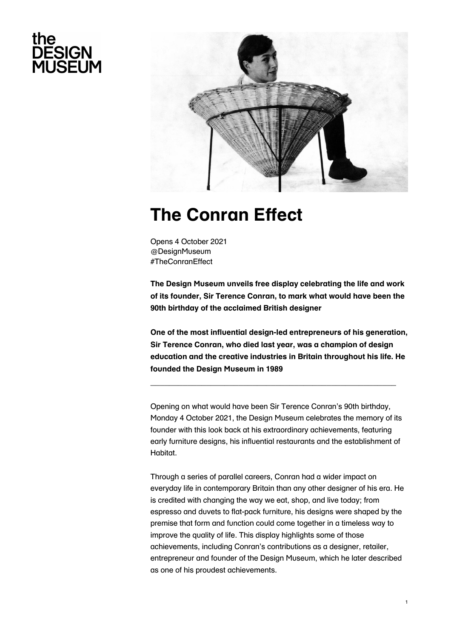# the **DESIGN<br>MUSEUM**



# **The Conran Effect**

Opens 4 October 2021 @DesignMuseum #TheConranEffect

**The Design Museum unveils free display celebrating the life and work of its founder, Sir Terence Conran, to mark what would have been the 90th birthday of the acclaimed British designer**

**One of the most influential design-led entrepreneurs of his generation, Sir Terence Conran, who died last year, was a champion of design education and the creative industries in Britain throughout his life. He founded the Design Museum in 1989**

**\_\_\_\_\_\_\_\_\_\_\_\_\_\_\_\_\_\_\_\_\_\_\_\_\_\_\_\_\_\_\_\_\_\_\_\_\_\_\_\_\_\_\_\_\_\_\_\_\_\_\_\_\_**

Opening on what would have been Sir Terence Conran's 90th birthday, Monday 4 October 2021, the Design Museum celebrates the memory of its founder with this look back at his extraordinary achievements, featuring early furniture designs, his influential restaurants and the establishment of Habitat.

Through a series of parallel careers, Conran had a wider impact on everyday life in contemporary Britain than any other designer of his era. He is credited with changing the way we eat, shop, and live today; from espresso and duvets to flat-pack furniture, his designs were shaped by the premise that form and function could come together in a timeless way to improve the quality of life. This display highlights some of those achievements, including Conran's contributions as a designer, retailer, entrepreneur and founder of the Design Museum, which he later described as one of his proudest achievements.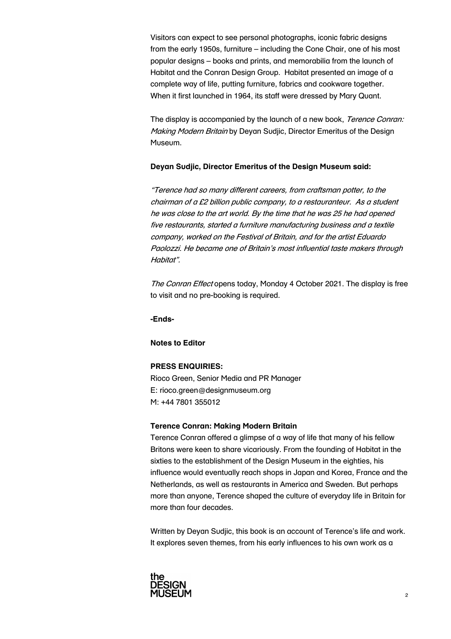Visitors can expect to see personal photographs, iconic fabric designs from the early 1950s, furniture – including the Cone Chair, one of his most popular designs – books and prints, and memorabilia from the launch of Habitat and the Conran Design Group. Habitat presented an image of a complete way of life, putting furniture, fabrics and cookware together. When it first launched in 1964, its staff were dressed by Mary Quant.

The display is accompanied by the launch of a new book, Terence Conran: Making Modern Britain by Deyan Sudjic, Director Emeritus of the Design Museum.

### **Deyan Sudjic, Director Emeritus of the Design Museum said:**

"Terence had so many different careers, from craftsman potter, to the chairman of a £2 billion public company, to a restauranteur. As a student he was close to the art world. By the time that he was 25 he had opened five restaurants, started a furniture manufacturing business and a textile company, worked on the Festival of Britain, and for the artist Eduardo Paolozzi. He became one of Britain's most influential taste makers through Habitat".

The Conran Effect opens today, Monday 4 October 2021. The display is free to visit and no pre-booking is required.

**-Ends-**

#### **Notes to Editor**

#### **PRESS ENQUIRIES:**

Rioco Green, Senior Media and PR Manager E: rioco.green@designmuseum.org M: +44 7801 355012

#### **Terence Conran: Making Modern Britain**

Terence Conran offered a glimpse of a way of life that many of his fellow Britons were keen to share vicariously. From the founding of Habitat in the sixties to the establishment of the Design Museum in the eighties, his influence would eventually reach shops in Japan and Korea, France and the Netherlands, as well as restaurants in America and Sweden. But perhaps more than anyone, Terence shaped the culture of everyday life in Britain for more than four decades.

Written by Deyan Sudjic, this book is an account of Terence's life and work. It explores seven themes, from his early influences to his own work as a